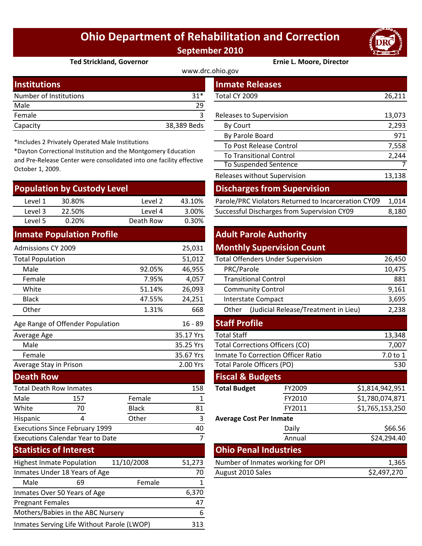# **Ohio Department of Rehabilitation and Correction September 2010**



#### **Ted Strickland, Governor Ernie L. Moore, Director**

| www.drc.ohio.gov       |             |                         |        |  |  |
|------------------------|-------------|-------------------------|--------|--|--|
| <b>Institutions</b>    |             | <b>Inmate Releases</b>  |        |  |  |
| Number of Institutions | $31*$       | Total CY 2009           | 26,211 |  |  |
| Male                   | 29          |                         |        |  |  |
| Female                 |             | Releases to Supervision | 13,073 |  |  |
| Capacity               | 38,389 Beds | By Court                | 2,293  |  |  |

\*Includes 2 Privately Operated Male Institutions

\*Dayton Correctional Institution and the Montgomery Education and Pre‐Release Center were consolidated into one facility effective October 1, 2009.

| <b>Population by Custody Level</b> |        |           |        | <b>Discharges from Supervision</b>                  |       |  |
|------------------------------------|--------|-----------|--------|-----------------------------------------------------|-------|--|
| Level 1                            | 30.80% | Level 2   | 43.10% | Parole/PRC Violators Returned to Incarceration CY09 | 1.014 |  |
| Level 3                            | 22.50% | Level 4   | 3.00%  | Successful Discharges from Supervision CY09         | 8,180 |  |
| Level 5                            | 0.20%  | Death Row | 0.30%  |                                                     |       |  |
|                                    | .      |           |        | alternative and the                                 |       |  |

### **Inmate Population Profile**

| Admissions CY 2009                      |                                  |              | 25,031                     |                                           | <b>Monthly Supervision Count</b>     |                 |
|-----------------------------------------|----------------------------------|--------------|----------------------------|-------------------------------------------|--------------------------------------|-----------------|
| <b>Total Population</b>                 |                                  |              | 51,012                     | <b>Total Offenders Under Supervision</b>  |                                      | 26,450          |
| Male                                    |                                  | 92.05%       | 46,955                     | PRC/Parole                                |                                      | 10,475          |
| Female                                  |                                  | 7.95%        | 4,057                      | <b>Transitional Control</b>               |                                      | 881             |
| White                                   |                                  | 51.14%       | 26,093                     | <b>Community Control</b>                  |                                      | 9,161           |
| <b>Black</b>                            |                                  | 47.55%       | 24,251                     | <b>Interstate Compact</b>                 |                                      | 3,695           |
| Other                                   |                                  | 1.31%        | 668                        | Other                                     | (Judicial Release/Treatment in Lieu) | 2,238           |
|                                         | Age Range of Offender Population |              | $16 - 89$                  | <b>Staff Profile</b>                      |                                      |                 |
| Average Age                             |                                  | 35.17 Yrs    | <b>Total Staff</b>         |                                           | 13,348                               |                 |
| Male                                    |                                  |              | 35.25 Yrs                  | <b>Total Corrections Officers (CO)</b>    |                                      | 7,007           |
| Female                                  |                                  |              | 35.67 Yrs                  | <b>Inmate To Correction Officer Ratio</b> |                                      | 7.0 to 1        |
| Average Stay in Prison                  |                                  | 2.00 Yrs     | Total Parole Officers (PO) |                                           | 530                                  |                 |
| <b>Death Row</b>                        |                                  |              |                            | <b>Fiscal &amp; Budgets</b>               |                                      |                 |
| <b>Total Death Row Inmates</b>          |                                  |              | 158                        | <b>Total Budget</b>                       | FY2009                               | \$1,814,942,951 |
| Male                                    | 157                              | Female       | 1                          |                                           | FY2010                               | \$1,780,074,871 |
| White                                   | 70                               | <b>Black</b> | 81                         |                                           | FY2011                               | \$1,765,153,250 |
| Hispanic                                | 4                                | Other        | 3                          | <b>Average Cost Per Inmate</b>            |                                      |                 |
| <b>Executions Since February 1999</b>   |                                  |              | 40                         |                                           | Daily                                | \$66.56         |
| <b>Executions Calendar Year to Date</b> |                                  | 7            |                            | Annual                                    | \$24,294.40                          |                 |
|                                         | <b>Statistics of Interest</b>    |              |                            | <b>Ohio Penal Industries</b>              |                                      |                 |
|                                         | <b>Highest Inmate Population</b> | 11/10/2008   | 51,273                     |                                           | Number of Inmates working for OPI    | 1,365           |
| Inmates Under 18 Years of Age           |                                  |              | 70                         | August 2010 Sales                         |                                      | \$2,497,270     |
| Male                                    | 69                               | Female       | 1                          |                                           |                                      |                 |
|                                         | Inmates Over 50 Years of Age     |              | 6,370                      |                                           |                                      |                 |
| <b>Pregnant Females</b>                 |                                  |              | 47                         |                                           |                                      |                 |

Mothers/Babies in the ABC Nursery 6 Inmates Serving Life Without Parole (LWOP) 313

| stitutions                                                                                                                                                                                       |                           |         |             | <b>Inmate Releases</b>                              |        |
|--------------------------------------------------------------------------------------------------------------------------------------------------------------------------------------------------|---------------------------|---------|-------------|-----------------------------------------------------|--------|
|                                                                                                                                                                                                  | mber of Institutions      |         | $31*$       | Total CY 2009                                       | 26,211 |
| le                                                                                                                                                                                               |                           |         | 29          |                                                     |        |
| nale                                                                                                                                                                                             |                           |         | 3           | Releases to Supervision                             | 13,073 |
| acity                                                                                                                                                                                            |                           |         | 38,389 Beds | By Court                                            | 2,293  |
|                                                                                                                                                                                                  |                           |         |             | By Parole Board                                     | 971    |
| cludes 2 Privately Operated Male Institutions<br>yton Correctional Institution and the Montgomery Education<br>Pre-Release Center were consolidated into one facility effective<br>ober 1, 2009. |                           |         |             | To Post Release Control                             | 7,558  |
|                                                                                                                                                                                                  |                           |         |             | <b>To Transitional Control</b>                      | 2,244  |
|                                                                                                                                                                                                  |                           |         |             | To Suspended Sentence                               |        |
|                                                                                                                                                                                                  |                           |         |             | Releases without Supervision                        | 13,138 |
|                                                                                                                                                                                                  | pulation by Custody Level |         |             | <b>Discharges from Supervision</b>                  |        |
| Level 1                                                                                                                                                                                          | 30.80%                    | Level 2 | 43.10%      | Parole/PRC Violators Returned to Incarceration CY09 | 1,014  |
| Level 3                                                                                                                                                                                          | 22.50%                    | Level 4 | 3.00%       | Successful Discharges from Supervision CY09         | 8,180  |

## **Adult Parole Authority Monthly Supervision Count**

|        | 51,012                  | <b>Total Offenders Under Supervision</b>  | 26,450                                        |        |                 |  |  |
|--------|-------------------------|-------------------------------------------|-----------------------------------------------|--------|-----------------|--|--|
| 92.05% | 46,955                  | PRC/Parole                                |                                               |        | 10,475          |  |  |
| 7.95%  | 4,057                   | <b>Transitional Control</b>               |                                               |        | 881             |  |  |
| 51.14% | 26,093                  | <b>Community Control</b>                  |                                               |        | 9,161           |  |  |
| 47.55% | 24,251                  | <b>Interstate Compact</b>                 |                                               |        | 3,695           |  |  |
| 1.31%  | 668                     | Other                                     | (Judicial Release/Treatment in Lieu)<br>2,238 |        |                 |  |  |
|        | $16 - 89$               | <b>Staff Profile</b>                      |                                               |        |                 |  |  |
|        | 35.17 Yrs               |                                           | <b>Total Staff</b>                            |        |                 |  |  |
|        | 35.25 Yrs               | <b>Total Corrections Officers (CO)</b>    | 7,007                                         |        |                 |  |  |
|        | 35.67 Yrs               | <b>Inmate To Correction Officer Ratio</b> | 7.0 to 1                                      |        |                 |  |  |
|        | 2.00 Yrs                | <b>Total Parole Officers (PO)</b>         |                                               |        | 530             |  |  |
|        |                         | <b>Fiscal &amp; Budgets</b>               |                                               |        |                 |  |  |
|        | 158                     | <b>Total Budget</b>                       |                                               | FY2009 | \$1,814,942,951 |  |  |
| ıale   | 1                       |                                           |                                               | FY2010 | \$1,780,074,871 |  |  |
| :k     | 81                      |                                           |                                               | FY2011 | \$1,765,153,250 |  |  |
| er     | 3                       | <b>Average Cost Per Inmate</b>            |                                               |        |                 |  |  |
|        | 40                      |                                           |                                               | Daily  | \$66.56         |  |  |
|        | $\overline{7}$          |                                           |                                               | Annual | \$24,294.40     |  |  |
|        |                         | <b>Ohio Penal Industries</b>              |                                               |        |                 |  |  |
| 08     | 51,273                  | Number of Inmates working for OPI         |                                               |        | 1,365           |  |  |
|        | August 2010 Sales<br>70 |                                           |                                               |        | \$2,497,270     |  |  |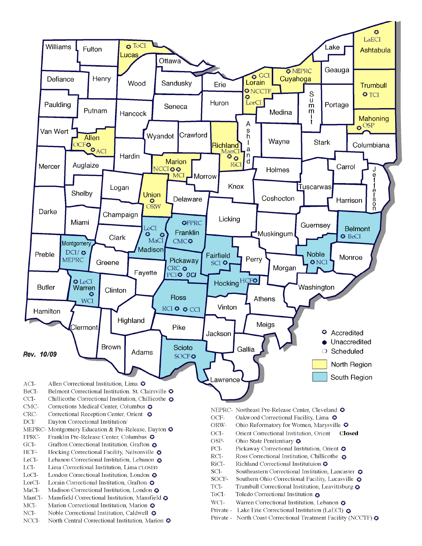